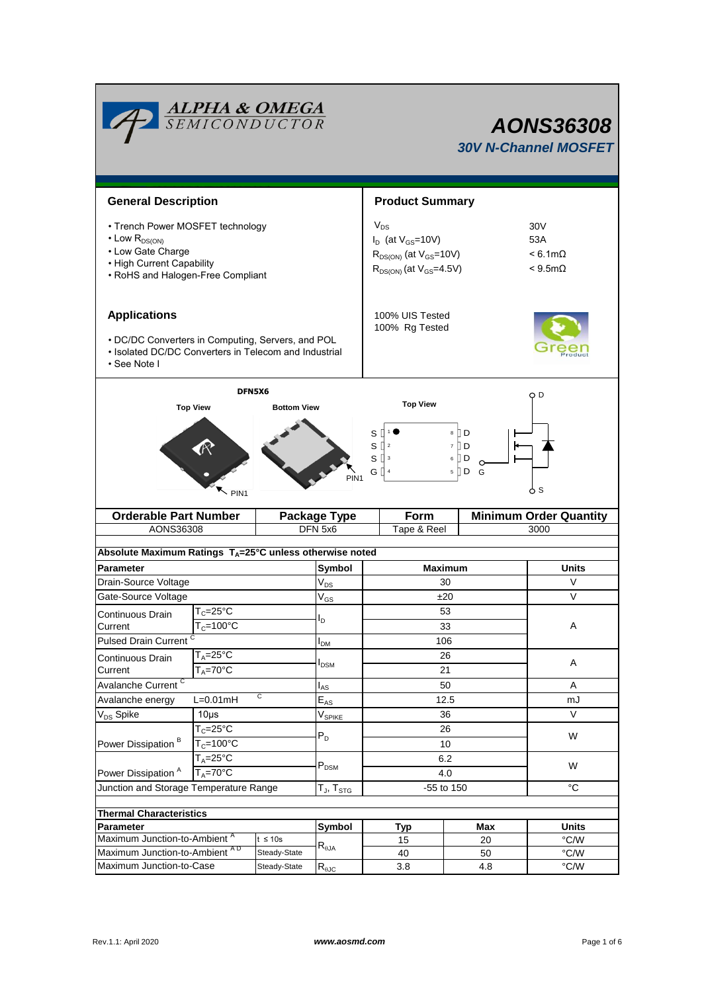|                                                                                                                                                     | <b>ALPHA &amp; OMEGA</b><br>SEMICONDUCTOR       |                                  | <b>AONS36308</b><br><b>30V N-Channel MOSFET</b> |                                                                                                             |                                                                     |              |  |  |  |
|-----------------------------------------------------------------------------------------------------------------------------------------------------|-------------------------------------------------|----------------------------------|-------------------------------------------------|-------------------------------------------------------------------------------------------------------------|---------------------------------------------------------------------|--------------|--|--|--|
| <b>General Description</b>                                                                                                                          |                                                 |                                  |                                                 | <b>Product Summary</b>                                                                                      |                                                                     |              |  |  |  |
| • Trench Power MOSFET technology<br>$\cdot$ Low $R_{DS(ON)}$<br>• Low Gate Charge<br>• High Current Capability<br>• RoHS and Halogen-Free Compliant |                                                 |                                  |                                                 | $V_{DS}$<br>$I_D$ (at $V_{GS}$ =10V)<br>$R_{DS(ON)}$ (at $V_{GS}$ =10V)<br>$R_{DS(ON)}$ (at $V_{GS}$ =4.5V) | 30 <sub>V</sub><br>53A<br>$< 6.1 \text{m}\Omega$<br>$< 9.5 m\Omega$ |              |  |  |  |
| <b>Applications</b><br>• DC/DC Converters in Computing, Servers, and POL<br>• Isolated DC/DC Converters in Telecom and Industrial                   |                                                 |                                  | 100% UIS Tested<br>100% Rg Tested               |                                                                                                             |                                                                     |              |  |  |  |
| • See Note I                                                                                                                                        |                                                 |                                  |                                                 |                                                                                                             |                                                                     |              |  |  |  |
|                                                                                                                                                     | DFN5X6<br><b>Top View</b><br><b>Bottom View</b> |                                  |                                                 | <b>Top View</b>                                                                                             |                                                                     | O D          |  |  |  |
| 8 D<br>S<br>7 D<br>sО<br>$\overline{2}$<br>$S^{\prod 3}$<br>6 [] D<br>G [<br>5    D<br>G<br>PIN <sub>1</sub><br>ტ s<br>PIN <sub>1</sub>             |                                                 |                                  |                                                 |                                                                                                             |                                                                     |              |  |  |  |
| <b>Orderable Part Number</b>                                                                                                                        |                                                 |                                  | <b>Package Type</b>                             | <b>Minimum Order Quantity</b><br>Form                                                                       |                                                                     |              |  |  |  |
| AONS36308                                                                                                                                           |                                                 |                                  | DFN 5x6                                         | Tape & Reel<br>3000                                                                                         |                                                                     |              |  |  |  |
| Absolute Maximum Ratings T <sub>A</sub> =25°C unless otherwise noted                                                                                |                                                 |                                  |                                                 |                                                                                                             |                                                                     |              |  |  |  |
| Parameter                                                                                                                                           |                                                 |                                  |                                                 | <b>Maximum</b>                                                                                              |                                                                     | <b>Units</b> |  |  |  |
| Drain-Source Voltage                                                                                                                                |                                                 |                                  | $V_{DS}$                                        | 30                                                                                                          |                                                                     | V            |  |  |  |
| Gate-Source Voltage                                                                                                                                 |                                                 |                                  | $\mathsf{V}_{\mathsf{GS}}$                      | ±20                                                                                                         |                                                                     | V            |  |  |  |
| Continuous Drain                                                                                                                                    | $T_c = 25$ °C                                   |                                  | l <sub>D</sub>                                  | 53                                                                                                          |                                                                     |              |  |  |  |
| Current                                                                                                                                             | $T_c = 100^{\circ}$ C                           |                                  |                                                 | 33                                                                                                          |                                                                     | Α            |  |  |  |
| <b>Pulsed Drain Current</b>                                                                                                                         |                                                 |                                  | I <sub>DM</sub>                                 | 106                                                                                                         |                                                                     |              |  |  |  |
| Continuous Drain                                                                                                                                    | $T_A = 25$ °C<br>$T_A = 70^\circ C$             |                                  | l <sub>DSM</sub>                                | 26<br>21                                                                                                    |                                                                     | Α            |  |  |  |
| Current<br>Avalanche Current <sup>C</sup>                                                                                                           |                                                 |                                  | l <sub>AS</sub>                                 | 50                                                                                                          |                                                                     | A            |  |  |  |
| С<br>Avalanche energy<br>$L=0.01mH$                                                                                                                 |                                                 |                                  | $\mathsf{E}_{\mathsf{AS}}$                      | 12.5                                                                                                        |                                                                     | mJ           |  |  |  |
| V <sub>DS</sub> Spike                                                                                                                               | $10\mus$                                        |                                  |                                                 | 36                                                                                                          |                                                                     | $\vee$       |  |  |  |
|                                                                                                                                                     | $T_c = 25$ °C                                   |                                  | $V_{SPIKE}$                                     | 26                                                                                                          |                                                                     | W            |  |  |  |
| Power Dissipation <sup>B</sup>                                                                                                                      | $T_c = 100^{\circ}$ C                           |                                  | $P_D$                                           | 10                                                                                                          |                                                                     |              |  |  |  |
| $T_A = 25^{\circ}$ C<br>$T_A = 70^\circ C$<br>Power Dissipation <sup>A</sup>                                                                        |                                                 |                                  | $P_{DSM}$                                       | 6.2<br>4.0                                                                                                  |                                                                     | W            |  |  |  |
| Junction and Storage Temperature Range                                                                                                              |                                                 | $T_J$ , $T_{STG}$                | -55 to 150                                      |                                                                                                             | $^{\circ}C$                                                         |              |  |  |  |
|                                                                                                                                                     |                                                 |                                  |                                                 |                                                                                                             |                                                                     |              |  |  |  |
| <b>Thermal Characteristics</b><br>Parameter                                                                                                         |                                                 |                                  | Symbol                                          |                                                                                                             | Max                                                                 | <b>Units</b> |  |  |  |
| Maximum Junction-to-Ambient <sup>A</sup><br>$t \leq 10s$                                                                                            |                                                 |                                  | Typ<br>15                                       | 20                                                                                                          | $\degree$ C/W                                                       |              |  |  |  |
| Maximum Junction-to-Ambient AD<br>Steady-State                                                                                                      |                                                 | $\mathsf{R}_{\theta\mathsf{JA}}$ | 40                                              | 50                                                                                                          | $\degree$ C/W                                                       |              |  |  |  |
| Maximum Junction-to-Case<br>Steady-State                                                                                                            |                                                 | $R_{\theta$ JC                   | 3.8                                             | 4.8                                                                                                         | $\degree$ C/W                                                       |              |  |  |  |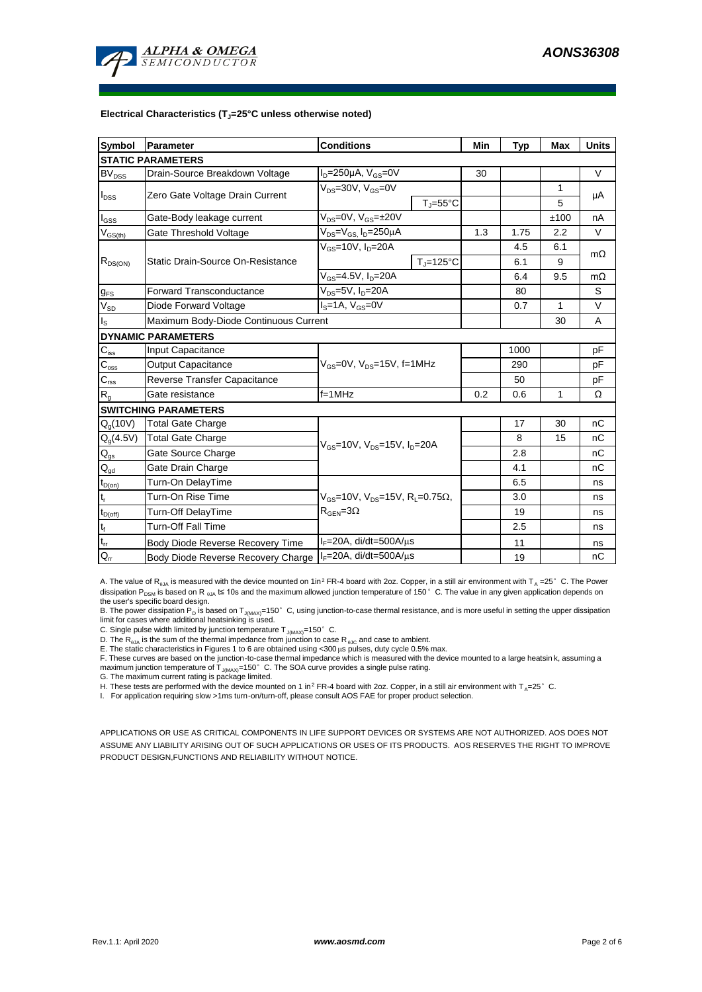

#### **Electrical Characteristics (TJ=25°C unless otherwise noted)**

| Symbol                                 | Parameter                                                  | <b>Conditions</b>                                                                           |                     | Min | Typ          | <b>Max</b> | <b>Units</b> |  |  |  |  |  |
|----------------------------------------|------------------------------------------------------------|---------------------------------------------------------------------------------------------|---------------------|-----|--------------|------------|--------------|--|--|--|--|--|
| <b>STATIC PARAMETERS</b>               |                                                            |                                                                                             |                     |     |              |            |              |  |  |  |  |  |
| $BV_{DSS}$                             | Drain-Source Breakdown Voltage                             | $I_D = 250 \mu A$ , $V_{GS} = 0V$                                                           |                     | 30  |              |            | $\vee$       |  |  |  |  |  |
| $I_{DSS}$                              | Zero Gate Voltage Drain Current                            | $V_{DS} = 30V$ , $V_{GS} = 0V$                                                              |                     |     |              | 1          | μA           |  |  |  |  |  |
|                                        |                                                            |                                                                                             | $T_i = 55^{\circ}C$ |     |              | 5          |              |  |  |  |  |  |
| $I_{GSS}$                              | Gate-Body leakage current                                  | $V_{DS} = 0V$ , $V_{GS} = \pm 20V$                                                          |                     |     |              | ±100       | nA           |  |  |  |  |  |
| $\rm V_{\rm GS(th)}$                   | Gate Threshold Voltage                                     | V <sub>DS</sub> =V <sub>GS.</sub> I <sub>D</sub> =250µA                                     |                     | 1.3 | 1.75         | 2.2        | $\vee$       |  |  |  |  |  |
| $R_{DS(ON)}$                           |                                                            | $V_{GS}$ =10V, $I_D$ =20A                                                                   |                     |     | 4.5          | 6.1        | $m\Omega$    |  |  |  |  |  |
|                                        | Static Drain-Source On-Resistance                          |                                                                                             | $T = 125^{\circ}C$  |     | 6.1          | 9          |              |  |  |  |  |  |
|                                        |                                                            | $V_{GS} = 4.5V, I_D = 20A$                                                                  |                     | 6.4 | 9.5          | $m\Omega$  |              |  |  |  |  |  |
| $g_{FS}$                               | <b>Forward Transconductance</b>                            | $V_{DS} = 5V$ , $I_D = 20A$                                                                 |                     | 80  |              | S          |              |  |  |  |  |  |
| $V_{SD}$                               | Diode Forward Voltage                                      | $IS=1A, VGS=0V$                                                                             |                     | 0.7 | $\mathbf{1}$ | $\vee$     |              |  |  |  |  |  |
| I <sub>s</sub>                         | Maximum Body-Diode Continuous Current                      |                                                                                             |                     | 30  | A            |            |              |  |  |  |  |  |
| <b>DYNAMIC PARAMETERS</b>              |                                                            |                                                                                             |                     |     |              |            |              |  |  |  |  |  |
| $C_{\text{iss}}$                       | Input Capacitance                                          |                                                                                             |                     |     | 1000         |            | pF           |  |  |  |  |  |
| $C_{\rm oss}$                          | <b>Output Capacitance</b>                                  | $V_{GS}$ =0V, $V_{DS}$ =15V, f=1MHz                                                         |                     | 290 |              | рF         |              |  |  |  |  |  |
| $C_{\text{rss}}$                       | Reverse Transfer Capacitance                               |                                                                                             |                     | 50  |              | pF         |              |  |  |  |  |  |
| $\mathsf{R}_{\mathsf{g}}$              | Gate resistance                                            | $f = 1$ MHz                                                                                 |                     | 0.2 | 0.6          | 1          | Ω            |  |  |  |  |  |
|                                        | <b>SWITCHING PARAMETERS</b>                                |                                                                                             |                     |     |              |            |              |  |  |  |  |  |
| $Q_q(10V)$                             | <b>Total Gate Charge</b>                                   | $V_{\text{GS}}$ =10V, $V_{\text{DS}}$ =15V, $I_{\text{D}}$ =20A                             |                     |     | 17           | 30         | nC           |  |  |  |  |  |
| $Q_g(4.5V)$                            | <b>Total Gate Charge</b>                                   |                                                                                             |                     |     | 8            | 15         | nC           |  |  |  |  |  |
| $Q_{gs}$                               | Gate Source Charge                                         |                                                                                             |                     |     | 2.8          |            | nC           |  |  |  |  |  |
| $\mathsf{Q}_{\underline{\mathsf{gd}}}$ | Gate Drain Charge                                          |                                                                                             |                     |     | 4.1          |            | nC           |  |  |  |  |  |
| $t_{D(on)}$                            | Turn-On DelayTime                                          | $V_{GS}$ =10V, $V_{DS}$ =15V, R <sub>L</sub> =0.75 $\Omega$ ,<br>$R_{\text{GEN}} = 3\Omega$ |                     |     | 6.5          |            | ns           |  |  |  |  |  |
| t,                                     | Turn-On Rise Time                                          |                                                                                             |                     |     | 3.0          |            | ns           |  |  |  |  |  |
| $t_{D(off)}$                           | Turn-Off DelayTime                                         |                                                                                             |                     |     | 19           |            | ns           |  |  |  |  |  |
| $t_f$                                  | <b>Turn-Off Fall Time</b>                                  |                                                                                             |                     |     | 2.5          |            | ns           |  |  |  |  |  |
| $t_{rr}$                               | Body Diode Reverse Recovery Time                           | $I_F = 20A$ , di/dt=500A/ $\mu$ s                                                           |                     |     | 11           |            | ns           |  |  |  |  |  |
| $Q_{rr}$                               | Body Diode Reverse Recovery Charge   IF=20A, di/dt=500A/µs |                                                                                             |                     |     | 19           |            | nC           |  |  |  |  |  |

A. The value of R<sub>BJA</sub> is measured with the device mounted on 1in<sup>2</sup> FR-4 board with 2oz. Copper, in a still air environment with T<sub>A</sub> =25°C. The Power dissipation P<sub>DSM</sub> is based on R <sub>6JA</sub> t≤ 10s and the maximum allowed junction temperature of 150°C. The value in any given application depends on the user's specific board design.

B. The power dissipation P<sub>D</sub> is based on T<sub>J(MAX)</sub>=150°C, using junction-to-case thermal resistance, and is more useful in setting the upper dissipation limit for cases where additional heatsinking is used.

C. Single pulse width limited by junction temperature  $T_{J(MAX)}$ =150°C.

D. The  $R_{a_i}$  is the sum of the thermal impedance from junction to case  $R_{a_i}$  and case to ambient.

E. The static characteristics in Figures 1 to 6 are obtained using <300 μs pulses, duty cycle 0.5% max.<br>F. These curves are based on the junction-to-case thermal impedance which is measured with the device mounted to a la maximum junction temperature of  $T_{J(MAX)}$ =150°C. The SOA curve provides a single pulse rating.

G. The maximum current rating is package limited.

H. These tests are performed with the device mounted on 1 in<sup>2</sup> FR-4 board with 2oz. Copper, in a still air environment with T<sub>A</sub>=25°C.

I. For application requiring slow >1ms turn-on/turn-off, please consult AOS FAE for proper product selection.

APPLICATIONS OR USE AS CRITICAL COMPONENTS IN LIFE SUPPORT DEVICES OR SYSTEMS ARE NOT AUTHORIZED. AOS DOES NOT ASSUME ANY LIABILITY ARISING OUT OF SUCH APPLICATIONS OR USES OF ITS PRODUCTS. AOS RESERVES THE RIGHT TO IMPROVE PRODUCT DESIGN,FUNCTIONS AND RELIABILITY WITHOUT NOTICE.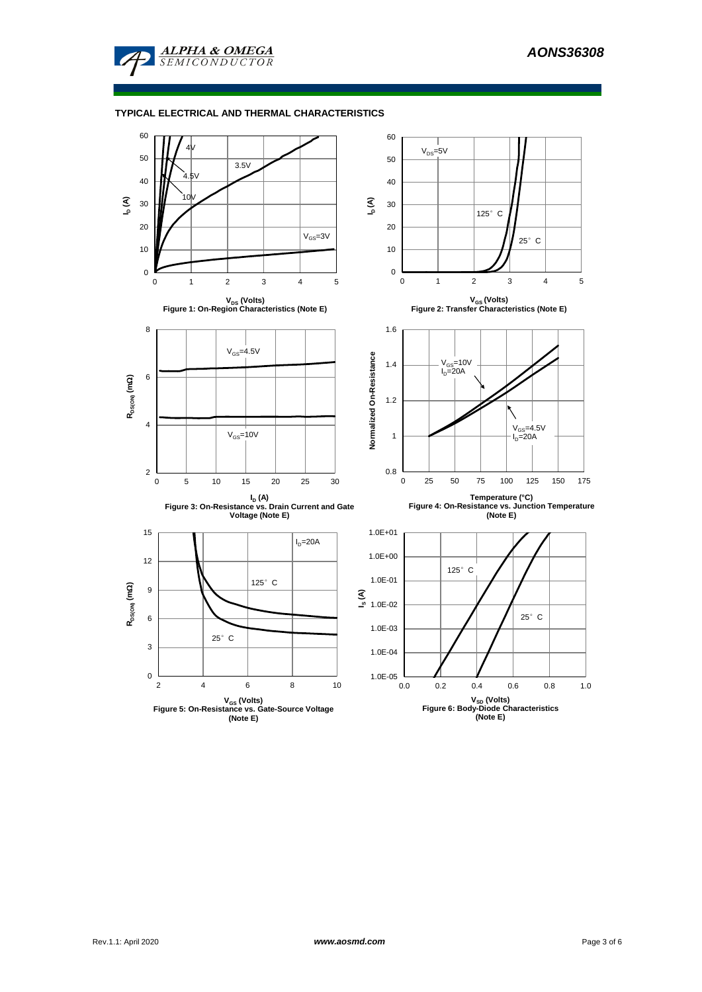

## **TYPICAL ELECTRICAL AND THERMAL CHARACTERISTICS**

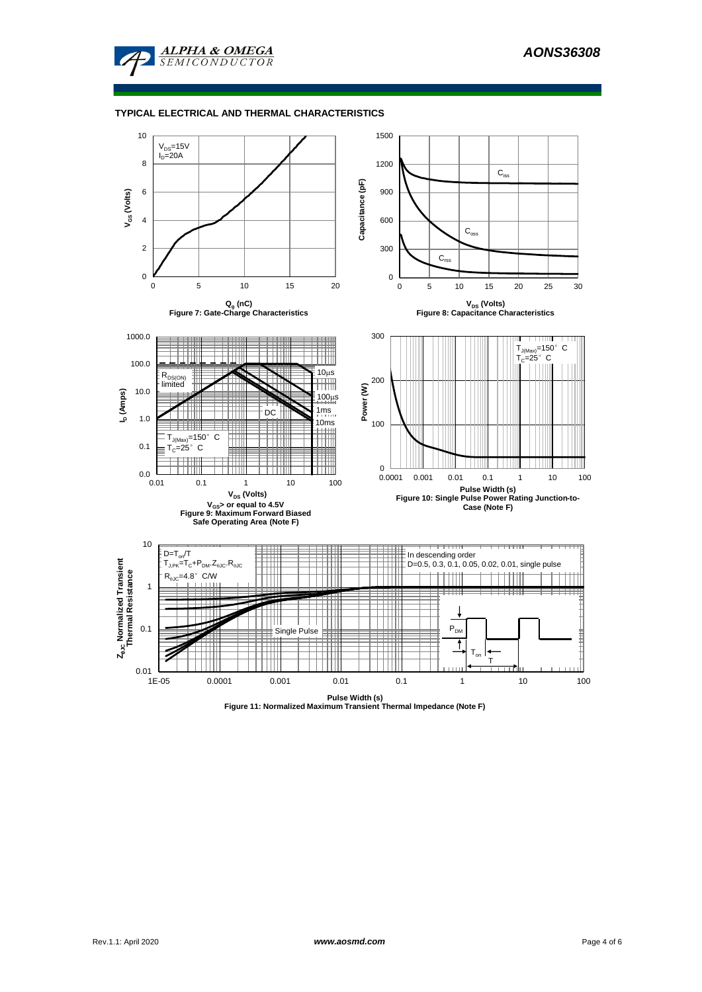

#### **TYPICAL ELECTRICAL AND THERMAL CHARACTERISTICS**



**Pulse Width (s) Figure 11: Normalized Maximum Transient Thermal Impedance (Note F)**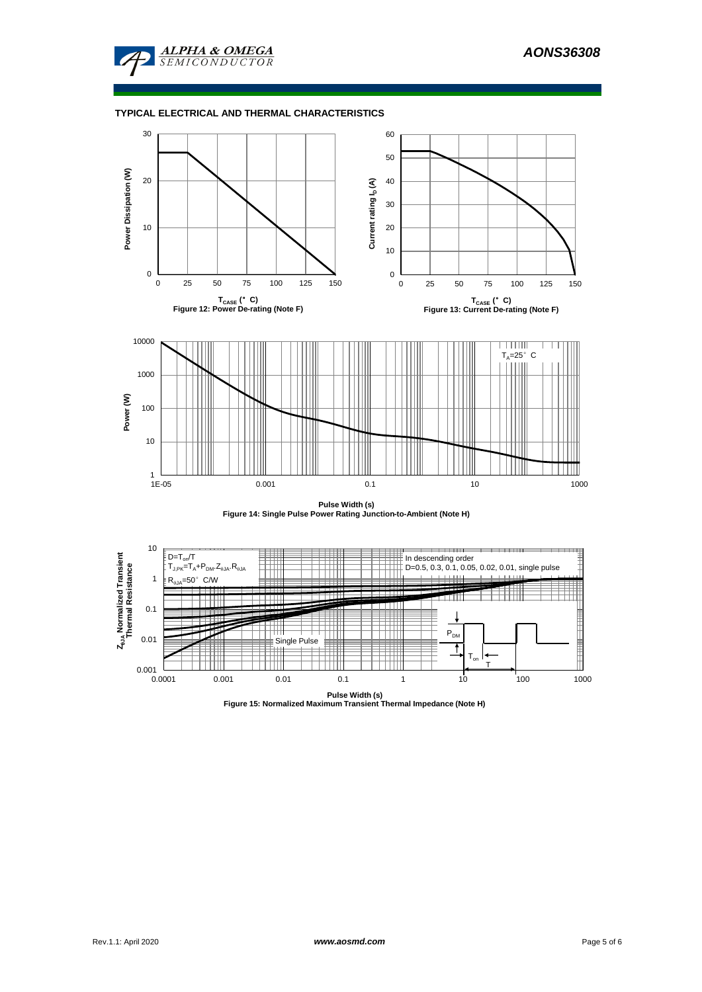

## **TYPICAL ELECTRICAL AND THERMAL CHARACTERISTICS**



**Pulse Width (s) Figure 14: Single Pulse Power Rating Junction-to-Ambient (Note H)**



**Pulse Width (s) Figure 15: Normalized Maximum Transient Thermal Impedance (Note H)**